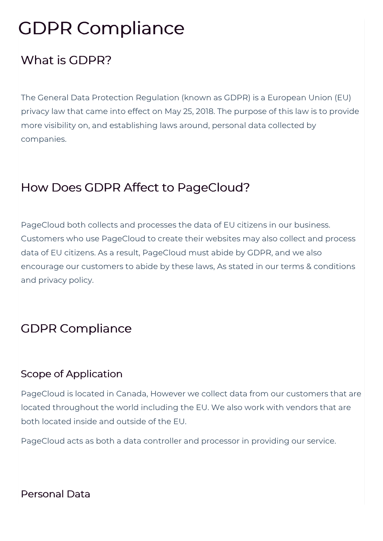# GDPR Compliance

# What is GDPR?

The General Data Protection Regulation (known as GDPR) is a European Union (EU) privacy law that came into effect on May 25, 2018. The purpose of this law is to provide more visibility on, and establishing laws around, personal data collected by companies.

# How Does GDPR Affect to PageCloud?

PageCloud both collects and processes the data of EU citizens in our business. Customers who use PageCloud to create their websites may also collect and process data of EU citizens. As a result, PageCloud must abide by GDPR, and we also encourage our customers to abide by these laws, As stated in our terms & conditions and privacy policy.

## GDPR Compliance

## Scope of Application

PageCloud is located in Canada, However we collect data from our customers that are located throughout the world including the EU. We also work with vendors that are both located inside and outside of the EU.

PageCloud acts as both a data controller and processor in providing our service.

#### Personal Data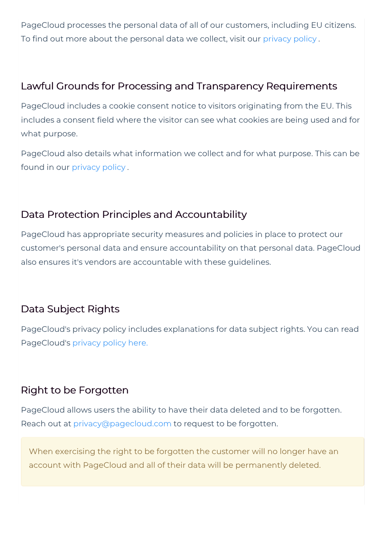PageCloud processes the personal data of all of our customers, including EU citizens. To find out more about the personal data we collect, visit our privacy policy .

#### Lawful Grounds for Processing and Transparency Requirements

PageCloud includes a cookie consent notice to visitors originating from the EU. This includes a consent field where the visitor can see what cookies are being used and for what purpose.

PageCloud also details what information we collect and for what purpose. This can be found in our privacy policy .

#### Data Protection Principles and Accountability

PageCloud has appropriate security measures and policies in place to protect our customer's personal data and ensure accountability on that personal data. PageCloud also ensures it's vendors are accountable with these guidelines.

## Data Subject Rights

PageCloud's privacy policy includes explanations for data subject rights. You can read PageCloud's privacy policy here.

## Right to be Forgotten

PageCloud allows users the ability to have their data deleted and to be forgotten. Reach out at privacy@pagecloud.com to request to be forgotten.

When exercising the right to be forgotten the customer will no longer have an account with PageCloud and all of their data will be permanently deleted.